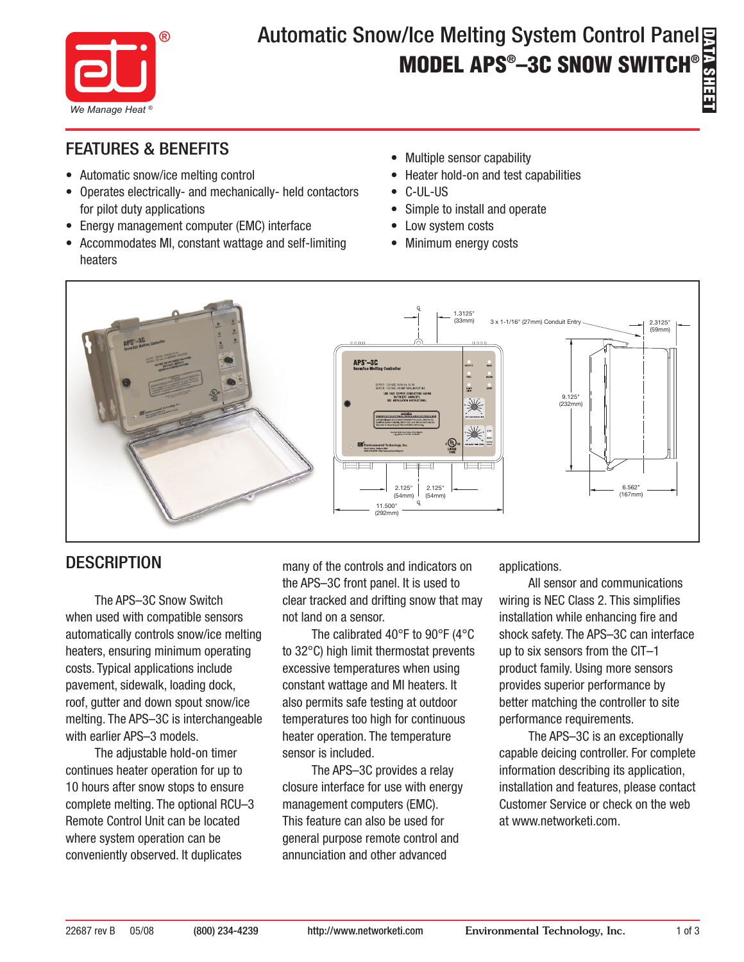

# Automatic Snow/Ice Melting System Control Panel **MODEL APS® –3C SNOW SWITCH®**

## FEATURES & BENEFITS

- Automatic snow/ice melting control
- Operates electrically- and mechanically- held contactors for pilot duty applications
- Energy management computer (EMC) interface
- Accommodates MI, constant wattage and self-limiting heaters
- Multiple sensor capability
- Heater hold-on and test capabilities
- C-UL-US
- Simple to install and operate
- Low system costs
- Minimum energy costs



## **DESCRIPTION**

The APS–3C Snow Switch when used with compatible sensors automatically controls snow/ice melting heaters, ensuring minimum operating costs. Typical applications include pavement, sidewalk, loading dock, roof, gutter and down spout snow/ice melting. The APS–3C is interchangeable with earlier APS–3 models.

The adjustable hold-on timer continues heater operation for up to 10 hours after snow stops to ensure complete melting. The optional RCU–3 Remote Control Unit can be located where system operation can be conveniently observed. It duplicates

many of the controls and indicators on the APS–3C front panel. It is used to clear tracked and drifting snow that may not land on a sensor.

The calibrated 40°F to 90°F (4°C to 32°C) high limit thermostat prevents excessive temperatures when using constant wattage and MI heaters. It also permits safe testing at outdoor temperatures too high for continuous heater operation. The temperature sensor is included.

The APS–3C provides a relay closure interface for use with energy management computers (EMC). This feature can also be used for general purpose remote control and annunciation and other advanced

applications.

All sensor and communications wiring is NEC Class 2. This simplifies installation while enhancing fire and shock safety. The APS–3C can interface up to six sensors from the CIT–1 product family. Using more sensors provides superior performance by better matching the controller to site performance requirements.

The APS–3C is an exceptionally capable deicing controller. For complete information describing its application, installation and features, please contact Customer Service or check on the web at www.networketi.com.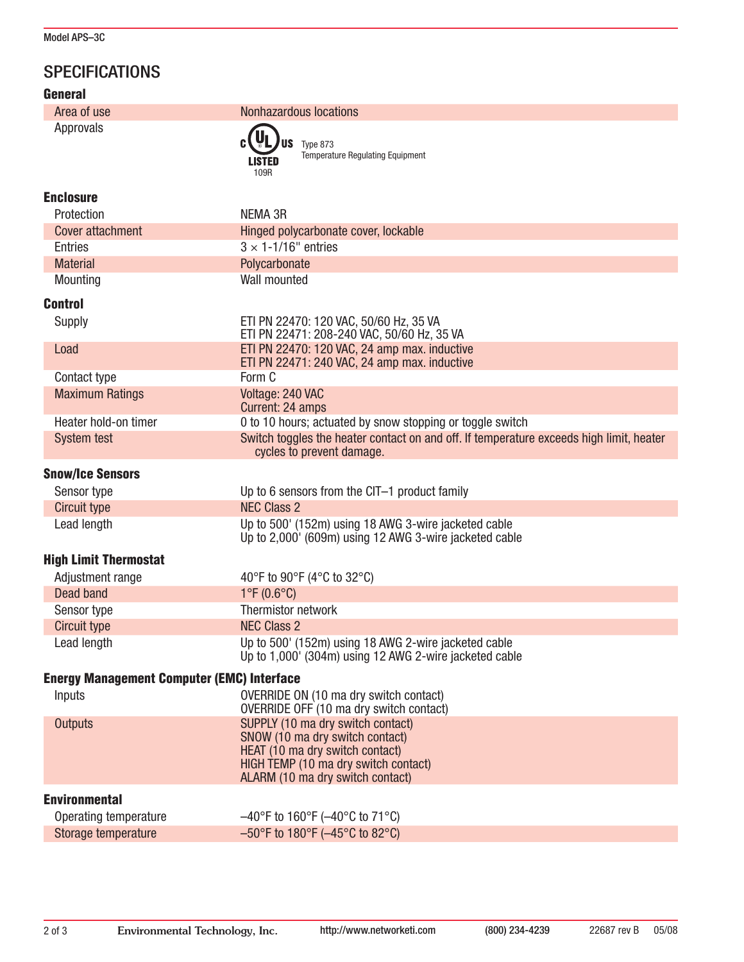## **SPECIFICATIONS**

| <b>General</b>                                    |                                                                                                                                                                                     |
|---------------------------------------------------|-------------------------------------------------------------------------------------------------------------------------------------------------------------------------------------|
| Area of use                                       | <b>Nonhazardous locations</b>                                                                                                                                                       |
| Approvals                                         | Type 873<br><b>Temperature Regulating Equipment</b><br><b>LISTED</b><br>109R                                                                                                        |
| <b>Enclosure</b>                                  |                                                                                                                                                                                     |
| Protection                                        | <b>NEMA 3R</b>                                                                                                                                                                      |
| <b>Cover attachment</b>                           | Hinged polycarbonate cover, lockable                                                                                                                                                |
| <b>Entries</b>                                    | $3 \times 1 - 1/16$ " entries                                                                                                                                                       |
| <b>Material</b>                                   | Polycarbonate                                                                                                                                                                       |
| Mounting                                          | Wall mounted                                                                                                                                                                        |
| <b>Control</b>                                    |                                                                                                                                                                                     |
| Supply                                            | ETI PN 22470: 120 VAC, 50/60 Hz, 35 VA<br>ETI PN 22471: 208-240 VAC, 50/60 Hz, 35 VA                                                                                                |
| Load                                              | ETI PN 22470: 120 VAC, 24 amp max. inductive                                                                                                                                        |
|                                                   | ETI PN 22471: 240 VAC, 24 amp max. inductive<br>Form C                                                                                                                              |
| Contact type<br><b>Maximum Ratings</b>            | Voltage: 240 VAC                                                                                                                                                                    |
|                                                   | Current: 24 amps                                                                                                                                                                    |
| Heater hold-on timer                              | 0 to 10 hours; actuated by snow stopping or toggle switch                                                                                                                           |
| <b>System test</b>                                | Switch toggles the heater contact on and off. If temperature exceeds high limit, heater<br>cycles to prevent damage.                                                                |
| <b>Snow/Ice Sensors</b>                           |                                                                                                                                                                                     |
| Sensor type                                       | Up to 6 sensors from the CIT-1 product family                                                                                                                                       |
| Circuit type                                      | <b>NEC Class 2</b>                                                                                                                                                                  |
| Lead length                                       | Up to 500' (152m) using 18 AWG 3-wire jacketed cable<br>Up to 2,000' (609m) using 12 AWG 3-wire jacketed cable                                                                      |
| <b>High Limit Thermostat</b>                      |                                                                                                                                                                                     |
| Adjustment range                                  | 40°F to 90°F (4°C to 32°C)                                                                                                                                                          |
| Dead band                                         | $1^{\circ}F(0.6^{\circ}C)$                                                                                                                                                          |
| Sensor type                                       | Thermistor network                                                                                                                                                                  |
| <b>Circuit type</b>                               | <b>NEC Class 2</b>                                                                                                                                                                  |
| Lead length                                       | Up to 500' (152m) using 18 AWG 2-wire jacketed cable<br>Up to 1,000' (304m) using 12 AWG 2-wire jacketed cable                                                                      |
| <b>Energy Management Computer (EMC) Interface</b> |                                                                                                                                                                                     |
| Inputs                                            | OVERRIDE ON (10 ma dry switch contact)<br>OVERRIDE OFF (10 ma dry switch contact)                                                                                                   |
| <b>Outputs</b>                                    | SUPPLY (10 ma dry switch contact)<br>SNOW (10 ma dry switch contact)<br>HEAT (10 ma dry switch contact)<br>HIGH TEMP (10 ma dry switch contact)<br>ALARM (10 ma dry switch contact) |
| <b>Environmental</b>                              |                                                                                                                                                                                     |
| Operating temperature                             | $-40^{\circ}$ F to 160°F ( $-40^{\circ}$ C to 71°C)                                                                                                                                 |
| Storage temperature                               | $-50^{\circ}$ F to 180 $^{\circ}$ F ( $-45^{\circ}$ C to 82 $^{\circ}$ C)                                                                                                           |